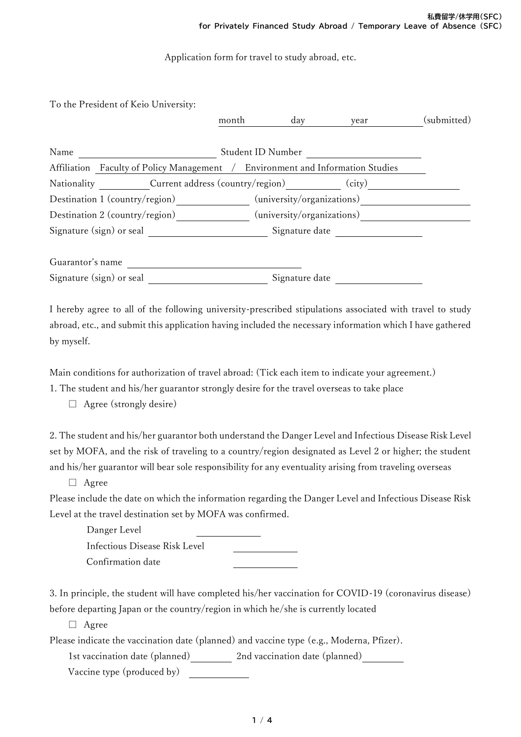Application form for travel to study abroad, etc.

To the President of Keio University:

|                                                                                | month                      | day                        | year           | (submitted) |
|--------------------------------------------------------------------------------|----------------------------|----------------------------|----------------|-------------|
| Name                                                                           | Student ID Number          |                            |                |             |
| Affiliation Faculty of Policy Management / Environment and Information Studies |                            |                            |                |             |
| Nationality Current address (country/region)                                   |                            |                            | (city)         |             |
| Destination 1 (country/region)                                                 |                            | (university/organizations) |                |             |
| Destination 2 (country/region)                                                 | (university/organizations) |                            |                |             |
| Signature (sign) or seal                                                       |                            |                            | Signature date |             |
|                                                                                |                            |                            |                |             |
| Guarantor's name                                                               |                            |                            |                |             |
| Signature (sign) or seal                                                       |                            | Signature date             |                |             |

I hereby agree to all of the following university-prescribed stipulations associated with travel to study abroad, etc., and submit this application having included the necessary information which I have gathered by myself.

Main conditions for authorization of travel abroad: (Tick each item to indicate your agreement.)

1. The student and his/her guarantor strongly desire for the travel overseas to take place

 $\Box$  Agree (strongly desire)

2. The student and his/her guarantor both understand the Danger Level and Infectious Disease Risk Level set by MOFA, and the risk of traveling to a country/region designated as Level 2 or higher; the student and his/her guarantor will bear sole responsibility for any eventuality arising from traveling overseas

□ Agree

Please include the date on which the information regarding the Danger Level and Infectious Disease Risk Level at the travel destination set by MOFA was confirmed.

Danger Level Infectious Disease Risk Level Confirmation date

3. In principle, the student will have completed his/her vaccination for COVID-19 (coronavirus disease) before departing Japan or the country/region in which he/she is currently located

□ Agree

Please indicate the vaccination date (planned) and vaccine type (e.g., Moderna, Pfizer).

1st vaccination date (planned) 2nd vaccination date (planned)

Vaccine type (produced by)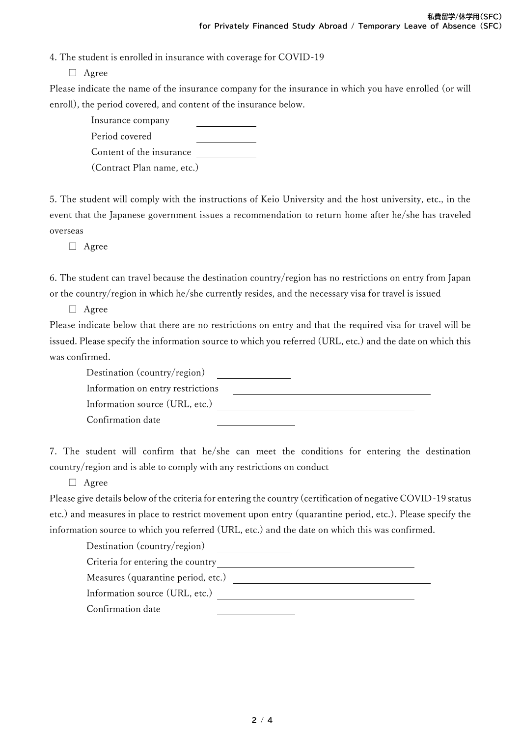4. The student is enrolled in insurance with coverage for COVID-19

□ Agree

Please indicate the name of the insurance company for the insurance in which you have enrolled (or will enroll), the period covered, and content of the insurance below.

 Insurance company Period covered Content of the insurance (Contract Plan name, etc.)

5. The student will comply with the instructions of Keio University and the host university, etc., in the event that the Japanese government issues a recommendation to return home after he/she has traveled overseas

□ Agree

6. The student can travel because the destination country/region has no restrictions on entry from Japan or the country/region in which he/she currently resides, and the necessary visa for travel is issued

□ Agree

Please indicate below that there are no restrictions on entry and that the required visa for travel will be issued. Please specify the information source to which you referred (URL, etc.) and the date on which this was confirmed.

 Destination (country/region) Information on entry restrictions Information source (URL, etc.) Confirmation date

7. The student will confirm that he/she can meet the conditions for entering the destination country/region and is able to comply with any restrictions on conduct

□ Agree

Please give details below of the criteria for entering the country (certification of negative COVID-19 status etc.) and measures in place to restrict movement upon entry (quarantine period, etc.). Please specify the information source to which you referred (URL, etc.) and the date on which this was confirmed.

Destination (country/region)

Criteria for entering the country and the country and the country of the country of the country of the country of the country of the country of the country of the country of the country of the country of the country of the

Measures (quarantine period, etc.)

Information source (URL, etc.)

Confirmation date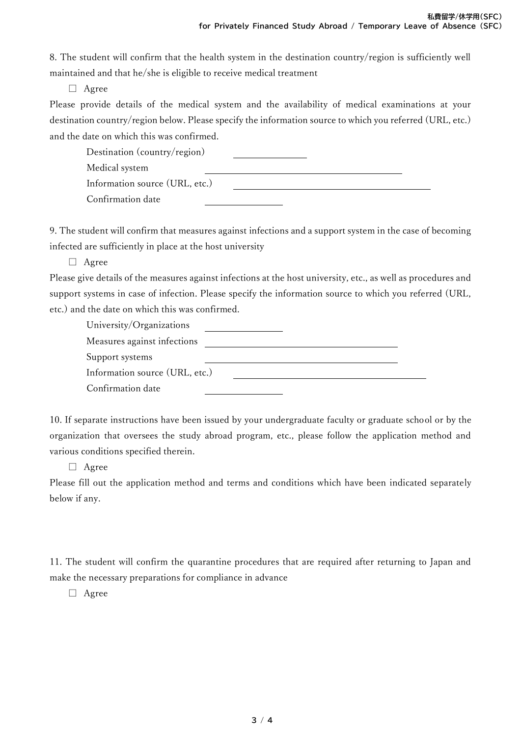8. The student will confirm that the health system in the destination country/region is sufficiently well maintained and that he/she is eligible to receive medical treatment

□ Agree

Please provide details of the medical system and the availability of medical examinations at your destination country/region below. Please specify the information source to which you referred (URL, etc.) and the date on which this was confirmed.

 Destination (country/region) Medical system Information source (URL, etc.) Confirmation date

9. The student will confirm that measures against infections and a support system in the case of becoming infected are sufficiently in place at the host university

□ Agree

Please give details of the measures against infections at the host university, etc., as well as procedures and support systems in case of infection. Please specify the information source to which you referred (URL, etc.) and the date on which this was confirmed.

| University/Organizations       |  |
|--------------------------------|--|
| Measures against infections    |  |
| Support systems                |  |
| Information source (URL, etc.) |  |
| Confirmation date              |  |

10. If separate instructions have been issued by your undergraduate faculty or graduate school or by the organization that oversees the study abroad program, etc., please follow the application method and various conditions specified therein.

□ Agree

Please fill out the application method and terms and conditions which have been indicated separately below if any.

11. The student will confirm the quarantine procedures that are required after returning to Japan and make the necessary preparations for compliance in advance

□ Agree